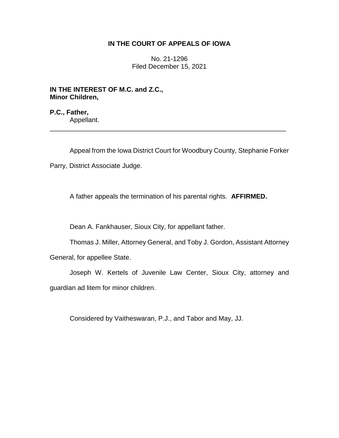## **IN THE COURT OF APPEALS OF IOWA**

No. 21-1296 Filed December 15, 2021

\_\_\_\_\_\_\_\_\_\_\_\_\_\_\_\_\_\_\_\_\_\_\_\_\_\_\_\_\_\_\_\_\_\_\_\_\_\_\_\_\_\_\_\_\_\_\_\_\_\_\_\_\_\_\_\_\_\_\_\_\_\_\_\_

**IN THE INTEREST OF M.C. and Z.C., Minor Children,**

**P.C., Father,** Appellant.

Appeal from the Iowa District Court for Woodbury County, Stephanie Forker

Parry, District Associate Judge.

A father appeals the termination of his parental rights. **AFFIRMED.**

Dean A. Fankhauser, Sioux City, for appellant father.

Thomas J. Miller, Attorney General, and Toby J. Gordon, Assistant Attorney

General, for appellee State.

Joseph W. Kertels of Juvenile Law Center, Sioux City, attorney and guardian ad litem for minor children.

Considered by Vaitheswaran, P.J., and Tabor and May, JJ.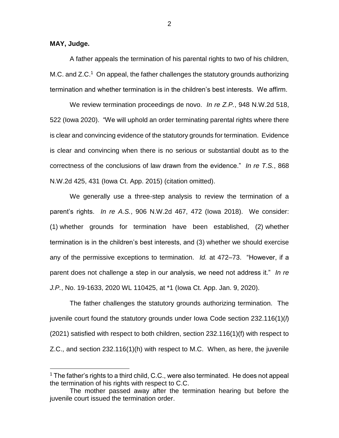**MAY, Judge.**

 $\overline{a}$ 

A father appeals the termination of his parental rights to two of his children, M.C. and  $Z.C.^1$  On appeal, the father challenges the statutory grounds authorizing termination and whether termination is in the children's best interests. We affirm.

We review termination proceedings de novo. *In re Z.P.*, 948 N.W.2d 518, 522 (Iowa 2020). "We will uphold an order terminating parental rights where there is clear and convincing evidence of the statutory grounds for termination. Evidence is clear and convincing when there is no serious or substantial doubt as to the correctness of the conclusions of law drawn from the evidence." *In re T.S.*, 868 N.W.2d 425, 431 (Iowa Ct. App. 2015) (citation omitted).

We generally use a three-step analysis to review the termination of a parent's rights. *In re A.S.*, 906 N.W.2d 467, 472 (Iowa 2018). We consider: (1) whether grounds for termination have been established, (2) whether termination is in the children's best interests, and (3) whether we should exercise any of the permissive exceptions to termination. *Id.* at 472–73. "However, if a parent does not challenge a step in our analysis, we need not address it." *In re J.P.*, No. 19-1633, 2020 WL 110425, at \*1 (Iowa Ct. App. Jan. 9, 2020).

The father challenges the statutory grounds authorizing termination. The juvenile court found the statutory grounds under Iowa Code section 232.116(1)(*l*) (2021) satisfied with respect to both children, section 232.116(1)(f) with respect to Z.C., and section 232.116(1)(h) with respect to M.C. When, as here, the juvenile

 $1$  The father's rights to a third child, C.C., were also terminated. He does not appeal the termination of his rights with respect to C.C.

The mother passed away after the termination hearing but before the juvenile court issued the termination order.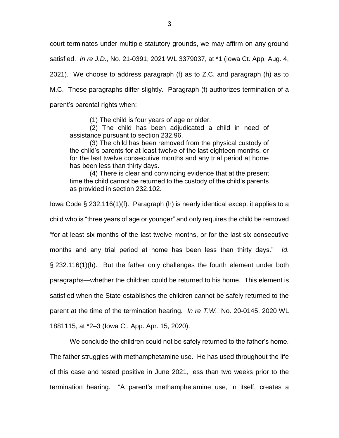court terminates under multiple statutory grounds, we may affirm on any ground satisfied. *In re J.D.*, No. 21-0391, 2021 WL 3379037, at \*1 (Iowa Ct. App. Aug. 4, 2021). We choose to address paragraph (f) as to Z.C. and paragraph (h) as to M.C. These paragraphs differ slightly. Paragraph (f) authorizes termination of a parent's parental rights when:

(1) The child is four years of age or older.

(2) The child has been adjudicated a child in need of assistance pursuant to section 232.96.

(3) The child has been removed from the physical custody of the child's parents for at least twelve of the last eighteen months, or for the last twelve consecutive months and any trial period at home has been less than thirty days.

(4) There is clear and convincing evidence that at the present time the child cannot be returned to the custody of the child's parents as provided in section 232.102.

Iowa Code § 232.116(1)(f). Paragraph (h) is nearly identical except it applies to a child who is "three years of age or younger" and only requires the child be removed "for at least six months of the last twelve months, or for the last six consecutive months and any trial period at home has been less than thirty days." *Id.* § 232.116(1)(h). But the father only challenges the fourth element under both paragraphs—whether the children could be returned to his home. This element is satisfied when the State establishes the children cannot be safely returned to the parent at the time of the termination hearing*. In re T.W.*, No. 20-0145, 2020 WL 1881115, at \*2–3 (Iowa Ct. App. Apr. 15, 2020).

We conclude the children could not be safely returned to the father's home. The father struggles with methamphetamine use. He has used throughout the life of this case and tested positive in June 2021, less than two weeks prior to the termination hearing. "A parent's methamphetamine use, in itself, creates a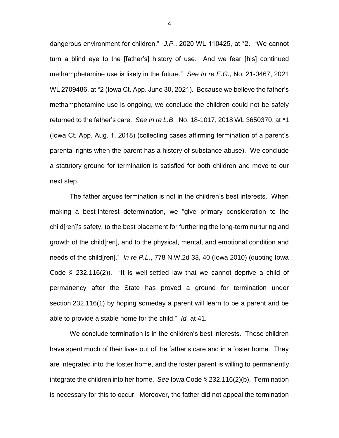dangerous environment for children." *J.P.*, 2020 WL 110425, at \*2. "We cannot turn a blind eye to the [father's] history of use. And we fear [his] continued methamphetamine use is likely in the future." *See In re E.G.*, No. 21-0467, 2021 WL 2709486, at \*2 (Iowa Ct. App. June 30, 2021). Because we believe the father's methamphetamine use is ongoing, we conclude the children could not be safely returned to the father's care. *See In re L.B.*, No. 18-1017, 2018 WL 3650370, at \*1 (Iowa Ct. App. Aug. 1, 2018) (collecting cases affirming termination of a parent's parental rights when the parent has a history of substance abuse). We conclude a statutory ground for termination is satisfied for both children and move to our next step.

The father argues termination is not in the children's best interests. When making a best-interest determination, we "give primary consideration to the child[ren]'s safety, to the best placement for furthering the long-term nurturing and growth of the child[ren], and to the physical, mental, and emotional condition and needs of the child[ren]." *In re P.L.*, 778 N.W.2d 33, 40 (Iowa 2010) (quoting Iowa Code § 232.116(2)). "It is well-settled law that we cannot deprive a child of permanency after the State has proved a ground for termination under section 232.116(1) by hoping someday a parent will learn to be a parent and be able to provide a stable home for the child." *Id.* at 41.

We conclude termination is in the children's best interests. These children have spent much of their lives out of the father's care and in a foster home. They are integrated into the foster home, and the foster parent is willing to permanently integrate the children into her home. *See* Iowa Code § 232.116(2)(b). Termination is necessary for this to occur. Moreover, the father did not appeal the termination

4